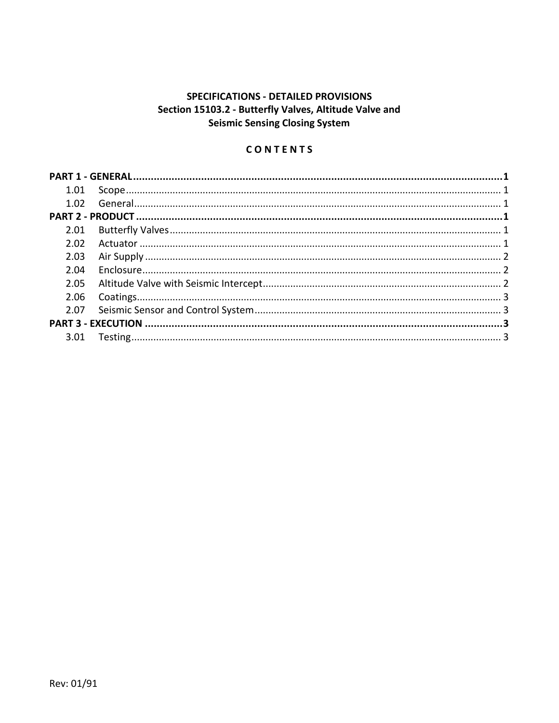# SPECIFICATIONS - DETAILED PROVISIONS Section 15103.2 - Butterfly Valves, Altitude Valve and **Seismic Sensing Closing System**

## CONTENTS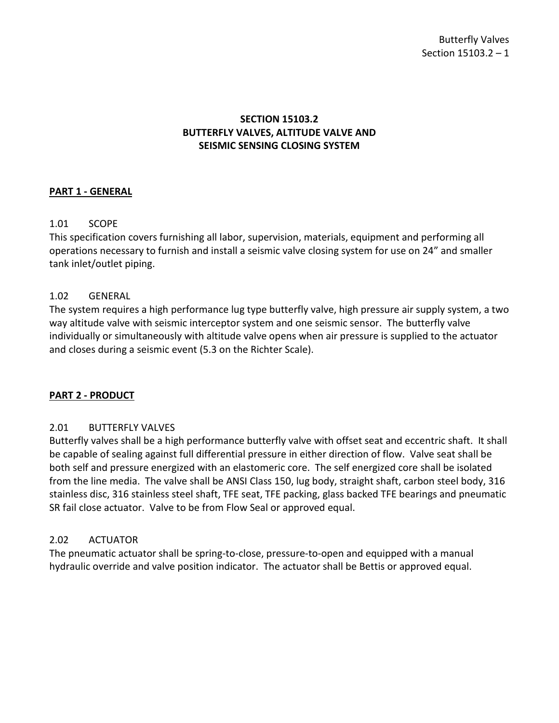### **SECTION 15103.2 BUTTERFLY VALVES, ALTITUDE VALVE AND SEISMIC SENSING CLOSING SYSTEM**

#### <span id="page-2-0"></span>**PART 1 - GENERAL**

### <span id="page-2-1"></span>1.01 SCOPE

This specification covers furnishing all labor, supervision, materials, equipment and performing all operations necessary to furnish and install a seismic valve closing system for use on 24" and smaller tank inlet/outlet piping.

#### <span id="page-2-2"></span>1.02 GENERAL

The system requires a high performance lug type butterfly valve, high pressure air supply system, a two way altitude valve with seismic interceptor system and one seismic sensor. The butterfly valve individually or simultaneously with altitude valve opens when air pressure is supplied to the actuator and closes during a seismic event (5.3 on the Richter Scale).

#### <span id="page-2-3"></span>**PART 2 - PRODUCT**

#### <span id="page-2-4"></span>2.01 BUTTERFLY VALVES

Butterfly valves shall be a high performance butterfly valve with offset seat and eccentric shaft. It shall be capable of sealing against full differential pressure in either direction of flow. Valve seat shall be both self and pressure energized with an elastomeric core. The self energized core shall be isolated from the line media. The valve shall be ANSI Class 150, lug body, straight shaft, carbon steel body, 316 stainless disc, 316 stainless steel shaft, TFE seat, TFE packing, glass backed TFE bearings and pneumatic SR fail close actuator. Valve to be from Flow Seal or approved equal.

### <span id="page-2-5"></span>2.02 ACTUATOR

The pneumatic actuator shall be spring-to-close, pressure-to-open and equipped with a manual hydraulic override and valve position indicator. The actuator shall be Bettis or approved equal.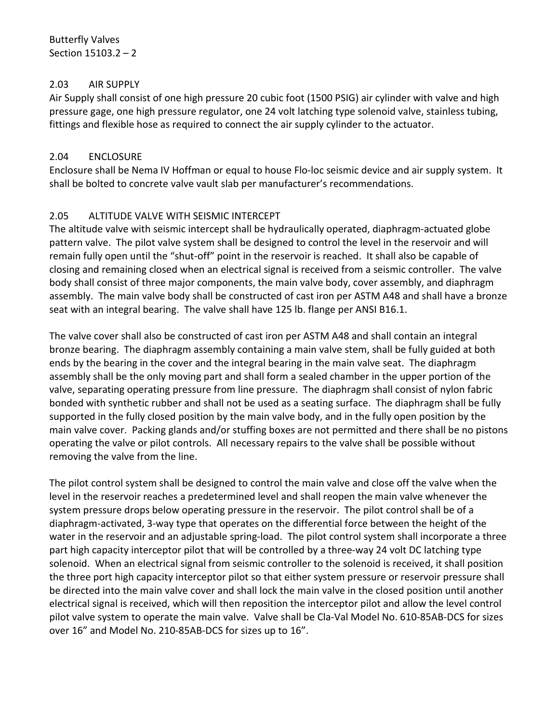### <span id="page-3-0"></span>2.03 AIR SUPPLY

Air Supply shall consist of one high pressure 20 cubic foot (1500 PSIG) air cylinder with valve and high pressure gage, one high pressure regulator, one 24 volt latching type solenoid valve, stainless tubing, fittings and flexible hose as required to connect the air supply cylinder to the actuator.

## <span id="page-3-1"></span>2.04 ENCLOSURE

Enclosure shall be Nema IV Hoffman or equal to house Flo-loc seismic device and air supply system. It shall be bolted to concrete valve vault slab per manufacturer's recommendations.

# <span id="page-3-2"></span>2.05 ALTITUDE VALVE WITH SEISMIC INTERCEPT

The altitude valve with seismic intercept shall be hydraulically operated, diaphragm-actuated globe pattern valve. The pilot valve system shall be designed to control the level in the reservoir and will remain fully open until the "shut-off" point in the reservoir is reached. It shall also be capable of closing and remaining closed when an electrical signal is received from a seismic controller. The valve body shall consist of three major components, the main valve body, cover assembly, and diaphragm assembly. The main valve body shall be constructed of cast iron per ASTM A48 and shall have a bronze seat with an integral bearing. The valve shall have 125 lb. flange per ANSI B16.1.

The valve cover shall also be constructed of cast iron per ASTM A48 and shall contain an integral bronze bearing. The diaphragm assembly containing a main valve stem, shall be fully guided at both ends by the bearing in the cover and the integral bearing in the main valve seat. The diaphragm assembly shall be the only moving part and shall form a sealed chamber in the upper portion of the valve, separating operating pressure from line pressure. The diaphragm shall consist of nylon fabric bonded with synthetic rubber and shall not be used as a seating surface. The diaphragm shall be fully supported in the fully closed position by the main valve body, and in the fully open position by the main valve cover. Packing glands and/or stuffing boxes are not permitted and there shall be no pistons operating the valve or pilot controls. All necessary repairs to the valve shall be possible without removing the valve from the line.

The pilot control system shall be designed to control the main valve and close off the valve when the level in the reservoir reaches a predetermined level and shall reopen the main valve whenever the system pressure drops below operating pressure in the reservoir. The pilot control shall be of a diaphragm-activated, 3-way type that operates on the differential force between the height of the water in the reservoir and an adjustable spring-load. The pilot control system shall incorporate a three part high capacity interceptor pilot that will be controlled by a three-way 24 volt DC latching type solenoid. When an electrical signal from seismic controller to the solenoid is received, it shall position the three port high capacity interceptor pilot so that either system pressure or reservoir pressure shall be directed into the main valve cover and shall lock the main valve in the closed position until another electrical signal is received, which will then reposition the interceptor pilot and allow the level control pilot valve system to operate the main valve. Valve shall be Cla-Val Model No. 610-85AB-DCS for sizes over 16" and Model No. 210-85AB-DCS for sizes up to 16".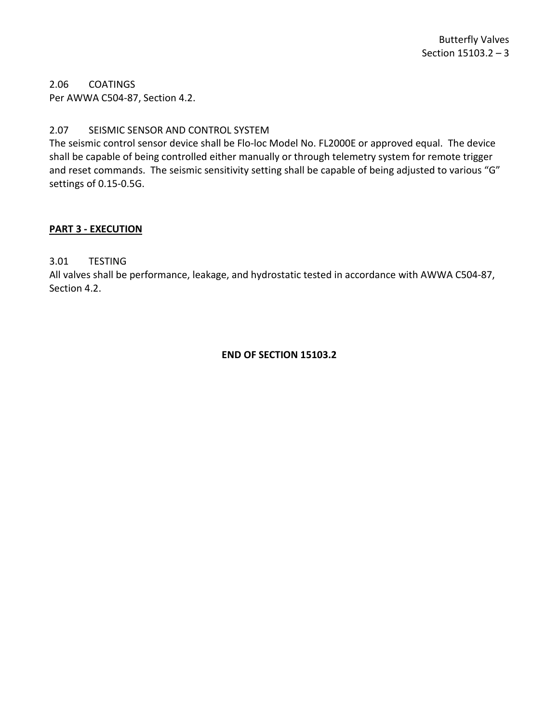<span id="page-4-0"></span>2.06 COATINGS Per AWWA C504-87, Section 4.2.

### <span id="page-4-1"></span>2.07 SEISMIC SENSOR AND CONTROL SYSTEM

The seismic control sensor device shall be Flo-loc Model No. FL2000E or approved equal. The device shall be capable of being controlled either manually or through telemetry system for remote trigger and reset commands. The seismic sensitivity setting shall be capable of being adjusted to various "G" settings of 0.15-0.5G.

#### <span id="page-4-2"></span>**PART 3 - EXECUTION**

<span id="page-4-3"></span>3.01 TESTING

All valves shall be performance, leakage, and hydrostatic tested in accordance with AWWA C504-87, Section 4.2.

#### **END OF SECTION 15103.2**